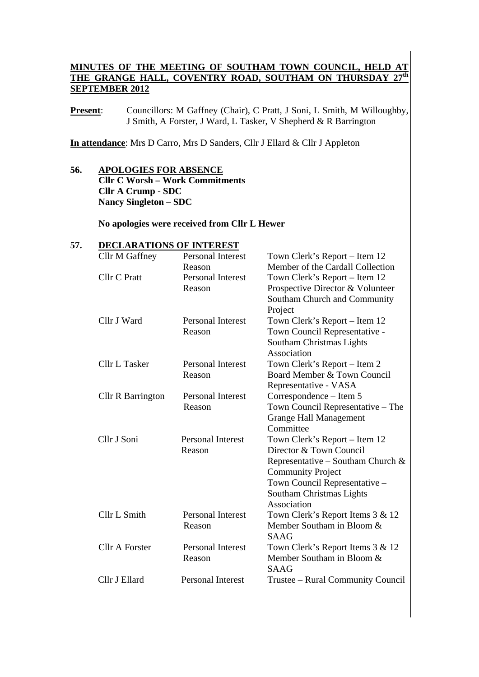# **MINUTES OF THE MEETING OF SOUTHAM TOWN COUNCIL, HELD AT THE GRANGE HALL. COVENTRY ROAD SOUTHAM ON THUDEDAY 27th** THE GRANGE HALL, COVENTRY ROAD, SOUTHAM ON THURSDAY **SEPTEMBER 2012**

**Present**: Councillors: M Gaffney (Chair), C Pratt, J Soni, L Smith, M Willoughby, J Smith, A Forster, J Ward, L Tasker, V Shepherd & R Barrington

**In attendance**: Mrs D Carro, Mrs D Sanders, Cllr J Ellard & Cllr J Appleton

**56. APOLOGIES FOR ABSENCE Cllr C Worsh – Work Commitments Cllr A Crump - SDC Nancy Singleton – SDC** 

**No apologies were received from Cllr L Hewer** 

# **57. DECLARATIONS OF INTEREST**

| Cllr M Gaffney           | <b>Personal Interest</b><br>Reason | Town Clerk's Report – Item 12<br>Member of the Cardall Collection           |
|--------------------------|------------------------------------|-----------------------------------------------------------------------------|
| <b>Cllr C Pratt</b>      | <b>Personal Interest</b>           | Town Clerk's Report - Item 12                                               |
|                          | Reason                             | Prospective Director & Volunteer<br>Southam Church and Community<br>Project |
| Cllr J Ward              | <b>Personal Interest</b>           | Town Clerk's Report – Item 12                                               |
|                          | Reason                             | Town Council Representative -                                               |
|                          |                                    | <b>Southam Christmas Lights</b>                                             |
|                          |                                    | Association                                                                 |
| <b>Cllr L Tasker</b>     | <b>Personal Interest</b>           | Town Clerk's Report – Item 2                                                |
|                          | Reason                             | Board Member & Town Council                                                 |
|                          |                                    | Representative - VASA                                                       |
| <b>Cllr R Barrington</b> | <b>Personal Interest</b>           | Correspondence - Item 5                                                     |
|                          | Reason                             | Town Council Representative – The                                           |
|                          |                                    | <b>Grange Hall Management</b>                                               |
|                          |                                    | Committee                                                                   |
| Cllr J Soni              | <b>Personal Interest</b>           | Town Clerk's Report - Item 12                                               |
|                          | Reason                             | Director & Town Council                                                     |
|                          |                                    | Representative - Southam Church &<br><b>Community Project</b>               |
|                          |                                    | Town Council Representative -                                               |
|                          |                                    | Southam Christmas Lights                                                    |
|                          |                                    | Association                                                                 |
| Cllr L Smith             | <b>Personal Interest</b>           | Town Clerk's Report Items 3 & 12                                            |
|                          | Reason                             | Member Southam in Bloom &                                                   |
|                          |                                    | <b>SAAG</b>                                                                 |
| <b>Cllr A Forster</b>    | <b>Personal Interest</b>           | Town Clerk's Report Items 3 & 12                                            |
|                          | Reason                             | Member Southam in Bloom &                                                   |
|                          |                                    | <b>SAAG</b>                                                                 |
| Cllr J Ellard            | <b>Personal Interest</b>           | Trustee – Rural Community Council                                           |
|                          |                                    |                                                                             |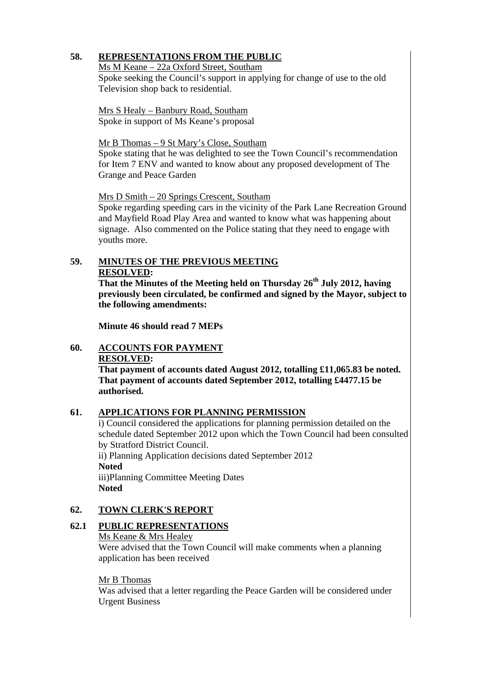# **58. REPRESENTATIONS FROM THE PUBLIC**

# Ms M Keane – 22a Oxford Street, Southam

Spoke seeking the Council's support in applying for change of use to the old Television shop back to residential.

Mrs S Healy – Banbury Road, Southam Spoke in support of Ms Keane's proposal

## Mr B Thomas – 9 St Mary's Close, Southam

Spoke stating that he was delighted to see the Town Council's recommendation for Item 7 ENV and wanted to know about any proposed development of The Grange and Peace Garden

Mrs D Smith – 20 Springs Crescent, Southam

Spoke regarding speeding cars in the vicinity of the Park Lane Recreation Ground and Mayfield Road Play Area and wanted to know what was happening about signage. Also commented on the Police stating that they need to engage with youths more.

# **59. MINUTES OF THE PREVIOUS MEETING RESOLVED:**

**That the Minutes of the Meeting held on Thursday 26th July 2012, having previously been circulated, be confirmed and signed by the Mayor, subject to the following amendments:** 

**Minute 46 should read 7 MEPs** 

# **60. ACCOUNTS FOR PAYMENT**

**RESOLVED:** 

**That payment of accounts dated August 2012, totalling £11,065.83 be noted. That payment of accounts dated September 2012, totalling £4477.15 be authorised.** 

# **61. APPLICATIONS FOR PLANNING PERMISSION**

i) Council considered the applications for planning permission detailed on the schedule dated September 2012 upon which the Town Council had been consulted by Stratford District Council.

ii) Planning Application decisions dated September 2012 **Noted**  iii)Planning Committee Meeting Dates **Noted** 

# **62. TOWN CLERK'S REPORT**

# **62.1 PUBLIC REPRESENTATIONS**

# Ms Keane & Mrs Healey

Were advised that the Town Council will make comments when a planning application has been received

# Mr B Thomas

Was advised that a letter regarding the Peace Garden will be considered under Urgent Business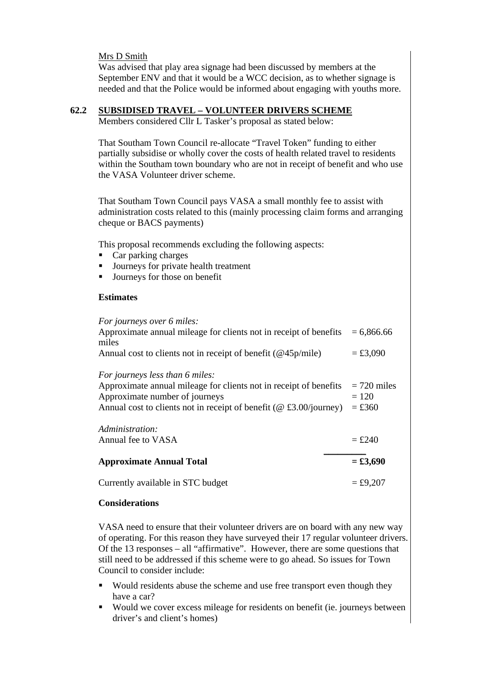## Mrs D Smith

Was advised that play area signage had been discussed by members at the September ENV and that it would be a WCC decision, as to whether signage is needed and that the Police would be informed about engaging with youths more.

## **62.2 SUBSIDISED TRAVEL – VOLUNTEER DRIVERS SCHEME**

Members considered Cllr L Tasker's proposal as stated below:

That Southam Town Council re-allocate "Travel Token" funding to either partially subsidise or wholly cover the costs of health related travel to residents within the Southam town boundary who are not in receipt of benefit and who use the VASA Volunteer driver scheme.

That Southam Town Council pays VASA a small monthly fee to assist with administration costs related to this (mainly processing claim forms and arranging cheque or BACS payments)

This proposal recommends excluding the following aspects:

- Car parking charges
- Journeys for private health treatment
- **Journeys for those on benefit**

#### **Estimates**

| For journeys over 6 miles:<br>Approximate annual mileage for clients not in receipt of benefits<br>miles                                                                                                             | $= 6,866.66$                         |
|----------------------------------------------------------------------------------------------------------------------------------------------------------------------------------------------------------------------|--------------------------------------|
| Annual cost to clients not in receipt of benefit ( $@45p/mile$ )                                                                                                                                                     | $= £3,090$                           |
| For journeys less than 6 miles:<br>Approximate annual mileage for clients not in receipt of benefits<br>Approximate number of journeys<br>Annual cost to clients not in receipt of benefit ( $\omega$ £3.00/journey) | $= 720$ miles<br>$= 120$<br>$=$ £360 |
| Administration:<br>Annual fee to VASA                                                                                                                                                                                | $=$ £240                             |
| <b>Approximate Annual Total</b>                                                                                                                                                                                      | $=$ £3,690                           |
| Currently available in STC budget                                                                                                                                                                                    | $=$ £9,207                           |

#### **Considerations**

VASA need to ensure that their volunteer drivers are on board with any new way of operating. For this reason they have surveyed their 17 regular volunteer drivers. Of the 13 responses – all "affirmative". However, there are some questions that still need to be addressed if this scheme were to go ahead. So issues for Town Council to consider include:

- Would residents abuse the scheme and use free transport even though they have a car?
- Would we cover excess mileage for residents on benefit (ie. journeys between driver's and client's homes)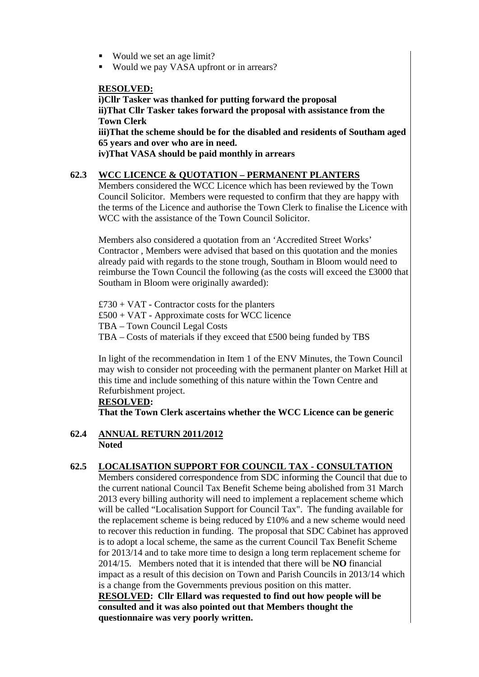- Would we set an age limit?
- Would we pay VASA upfront or in arrears?

## **RESOLVED:**

**i)Cllr Tasker was thanked for putting forward the proposal ii)That Cllr Tasker takes forward the proposal with assistance from the Town Clerk** 

**iii)That the scheme should be for the disabled and residents of Southam aged 65 years and over who are in need.** 

**iv)That VASA should be paid monthly in arrears** 

#### **62.3 WCC LICENCE & QUOTATION – PERMANENT PLANTERS**

Members considered the WCC Licence which has been reviewed by the Town Council Solicitor. Members were requested to confirm that they are happy with the terms of the Licence and authorise the Town Clerk to finalise the Licence with WCC with the assistance of the Town Council Solicitor.

Members also considered a quotation from an 'Accredited Street Works' Contractor , Members were advised that based on this quotation and the monies already paid with regards to the stone trough, Southam in Bloom would need to reimburse the Town Council the following (as the costs will exceed the £3000 that Southam in Bloom were originally awarded):

 $£730 + *VAT* - Contractor costs for the planets$ £500 + VAT - Approximate costs for WCC licence TBA – Town Council Legal Costs TBA – Costs of materials if they exceed that £500 being funded by TBS

In light of the recommendation in Item 1 of the ENV Minutes, the Town Council may wish to consider not proceeding with the permanent planter on Market Hill at this time and include something of this nature within the Town Centre and Refurbishment project.

#### **RESOLVED:**

**That the Town Clerk ascertains whether the WCC Licence can be generic** 

#### **62.4 ANNUAL RETURN 2011/2012 Noted**

# **62.5 LOCALISATION SUPPORT FOR COUNCIL TAX - CONSULTATION**

Members considered correspondence from SDC informing the Council that due to the current national Council Tax Benefit Scheme being abolished from 31 March 2013 every billing authority will need to implement a replacement scheme which will be called "Localisation Support for Council Tax". The funding available for the replacement scheme is being reduced by £10% and a new scheme would need to recover this reduction in funding. The proposal that SDC Cabinet has approved is to adopt a local scheme, the same as the current Council Tax Benefit Scheme for 2013/14 and to take more time to design a long term replacement scheme for 2014/15. Members noted that it is intended that there will be **NO** financial impact as a result of this decision on Town and Parish Councils in 2013/14 which is a change from the Governments previous position on this matter.

**RESOLVED: Cllr Ellard was requested to find out how people will be consulted and it was also pointed out that Members thought the questionnaire was very poorly written.**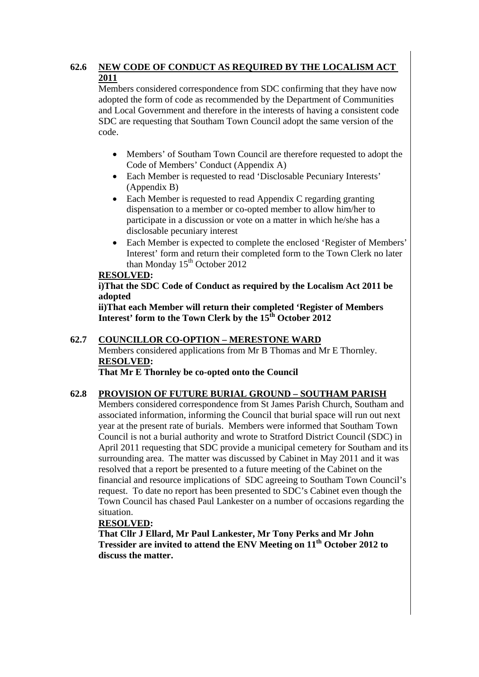# **62.6 NEW CODE OF CONDUCT AS REQUIRED BY THE LOCALISM ACT 2011**

Members considered correspondence from SDC confirming that they have now adopted the form of code as recommended by the Department of Communities and Local Government and therefore in the interests of having a consistent code SDC are requesting that Southam Town Council adopt the same version of the code.

- Members' of Southam Town Council are therefore requested to adopt the Code of Members' Conduct (Appendix A)
- Each Member is requested to read 'Disclosable Pecuniary Interests' (Appendix B)
- Each Member is requested to read Appendix C regarding granting dispensation to a member or co-opted member to allow him/her to participate in a discussion or vote on a matter in which he/she has a disclosable pecuniary interest
- Each Member is expected to complete the enclosed 'Register of Members' Interest' form and return their completed form to the Town Clerk no later than Monday  $15<sup>th</sup>$  October 2012

## **RESOLVED:**

**i)That the SDC Code of Conduct as required by the Localism Act 2011 be adopted** 

**ii)That each Member will return their completed 'Register of Members Interest' form to the Town Clerk by the 15th October 2012** 

#### **62.7 COUNCILLOR CO-OPTION – MERESTONE WARD** Members considered applications from Mr B Thomas and Mr E Thornley. **RESOLVED: That Mr E Thornley be co-opted onto the Council**

# **62.8 PROVISION OF FUTURE BURIAL GROUND – SOUTHAM PARISH**

Members considered correspondence from St James Parish Church, Southam and associated information, informing the Council that burial space will run out next year at the present rate of burials. Members were informed that Southam Town Council is not a burial authority and wrote to Stratford District Council (SDC) in April 2011 requesting that SDC provide a municipal cemetery for Southam and its surrounding area. The matter was discussed by Cabinet in May 2011 and it was resolved that a report be presented to a future meeting of the Cabinet on the financial and resource implications of SDC agreeing to Southam Town Council's request. To date no report has been presented to SDC's Cabinet even though the Town Council has chased Paul Lankester on a number of occasions regarding the situation.

#### **RESOLVED:**

 **That Cllr J Ellard, Mr Paul Lankester, Mr Tony Perks and Mr John Tressider are invited to attend the ENV Meeting on 11<sup>th</sup> October 2012 to discuss the matter.**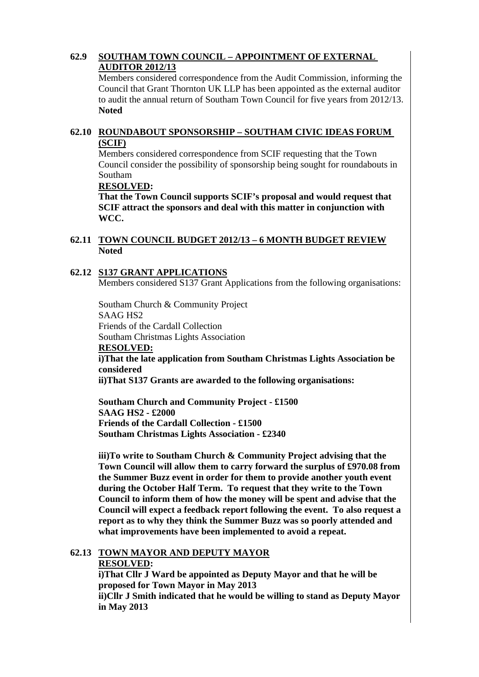# **62.9 SOUTHAM TOWN COUNCIL – APPOINTMENT OF EXTERNAL AUDITOR 2012/13**

 Members considered correspondence from the Audit Commission, informing the Council that Grant Thornton UK LLP has been appointed as the external auditor to audit the annual return of Southam Town Council for five years from 2012/13. **Noted** 

## **62.10 ROUNDABOUT SPONSORSHIP – SOUTHAM CIVIC IDEAS FORUM (SCIF)**

Members considered correspondence from SCIF requesting that the Town Council consider the possibility of sponsorship being sought for roundabouts in Southam

#### **RESOLVED:**

 **That the Town Council supports SCIF's proposal and would request that SCIF attract the sponsors and deal with this matter in conjunction with WCC.** 

## **62.11 TOWN COUNCIL BUDGET 2012/13 – 6 MONTH BUDGET REVIEW Noted**

## **62.12 S137 GRANT APPLICATIONS**

Members considered S137 Grant Applications from the following organisations:

 Southam Church & Community Project SAAG HS2 Friends of the Cardall Collection Southam Christmas Lights Association  **RESOLVED: i)That the late application from Southam Christmas Lights Association be considered ii)That S137 Grants are awarded to the following organisations:** 

 **Southam Church and Community Project - £1500 SAAG HS2 - £2000 Friends of the Cardall Collection - £1500 Southam Christmas Lights Association - £2340** 

 **iii)To write to Southam Church & Community Project advising that the Town Council will allow them to carry forward the surplus of £970.08 from the Summer Buzz event in order for them to provide another youth event during the October Half Term. To request that they write to the Town Council to inform them of how the money will be spent and advise that the Council will expect a feedback report following the event. To also request a report as to why they think the Summer Buzz was so poorly attended and what improvements have been implemented to avoid a repeat.** 

# **62.13 TOWN MAYOR AND DEPUTY MAYOR**

#### **RESOLVED:**

 **i)That Cllr J Ward be appointed as Deputy Mayor and that he will be proposed for Town Mayor in May 2013 ii)Cllr J Smith indicated that he would be willing to stand as Deputy Mayor in May 2013**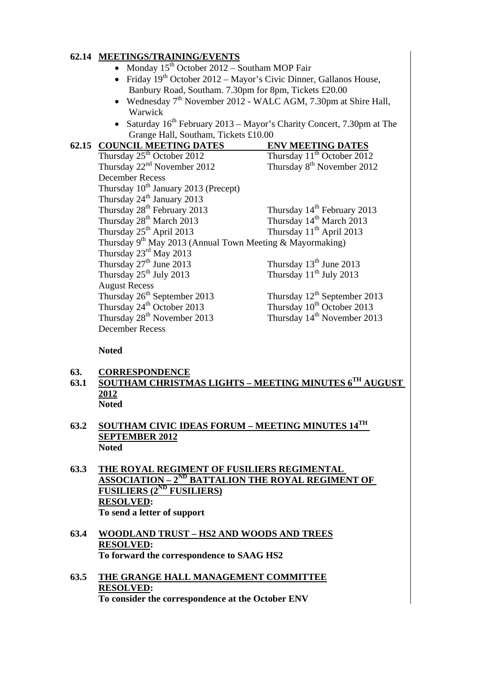## **62.14 MEETINGS/TRAINING/EVENTS**

- Monday  $15^{th}$  October  $2012 -$  Southam MOP Fair
- Friday  $19^{th}$  October 2012 Mayor's Civic Dinner, Gallanos House, Banbury Road, Southam. 7.30pm for 8pm, Tickets £20.00
- Wednesday  $7<sup>th</sup>$  November 2012 WALC AGM, 7.30pm at Shire Hall, Warwick
- Saturday  $16^{th}$  February 2013 Mayor's Charity Concert, 7.30pm at The Grange Hall, Southam, Tickets £10.00

#### **62.15 COUNCIL MEETING DATES ENV MEETING DATES**

| Thursday 25 <sup>th</sup> October 2012                                | Thursday 11 <sup>th</sup> October 2012  |  |  |  |
|-----------------------------------------------------------------------|-----------------------------------------|--|--|--|
| Thursday 22 <sup>nd</sup> November 2012                               | Thursday 8 <sup>th</sup> November 2012  |  |  |  |
| <b>December Recess</b>                                                |                                         |  |  |  |
| Thursday 10 <sup>th</sup> January 2013 (Precept)                      |                                         |  |  |  |
| Thursday 24 <sup>th</sup> January 2013                                |                                         |  |  |  |
| Thursday 28 <sup>th</sup> February 2013                               | Thursday 14 <sup>th</sup> February 2013 |  |  |  |
| Thursday 28 <sup>th</sup> March 2013                                  | Thursday 14 <sup>th</sup> March 2013    |  |  |  |
| Thursday 25 <sup>th</sup> April 2013                                  | Thursday 11 <sup>th</sup> April 2013    |  |  |  |
| Thursday 9 <sup>th</sup> May 2013 (Annual Town Meeting & Mayormaking) |                                         |  |  |  |
| Thursday 23 <sup>rd</sup> May 2013                                    |                                         |  |  |  |
| Thursday $27th$ June 2013                                             | Thursday $13th$ June 2013               |  |  |  |
| Thursday $25^{th}$ July 2013                                          | Thursday $11^{th}$ July 2013            |  |  |  |
| <b>August Recess</b>                                                  |                                         |  |  |  |
| Thursday 26 <sup>th</sup> September 2013                              | Thursday $12^{th}$ September 2013       |  |  |  |
| Thursday 24 <sup>th</sup> October 2013                                | Thursday 10 <sup>th</sup> October 2013  |  |  |  |
| Thursday 28 <sup>th</sup> November 2013                               | Thursday 14 <sup>th</sup> November 2013 |  |  |  |
| <b>December Recess</b>                                                |                                         |  |  |  |
|                                                                       |                                         |  |  |  |

**Noted** 

- **63. CORRESPONDENCE**
- **63.1 SOUTHAM CHRISTMAS LIGHTS MEETING MINUTES 6TH AUGUST 2012 Noted**
- **63.2 SOUTHAM CIVIC IDEAS FORUM MEETING MINUTES 14TH SEPTEMBER 2012 Noted**
- **63.3 THE ROYAL REGIMENT OF FUSILIERS REGIMENTAL ASSOCIATION – 2ND BATTALION THE ROYAL REGIMENT OF FUSILIERS (2ND FUSILIERS) RESOLVED: To send a letter of support**
- **63.4 WOODLAND TRUST HS2 AND WOODS AND TREES RESOLVED: To forward the correspondence to SAAG HS2**
- **63.5 THE GRANGE HALL MANAGEMENT COMMITTEE RESOLVED: To consider the correspondence at the October ENV**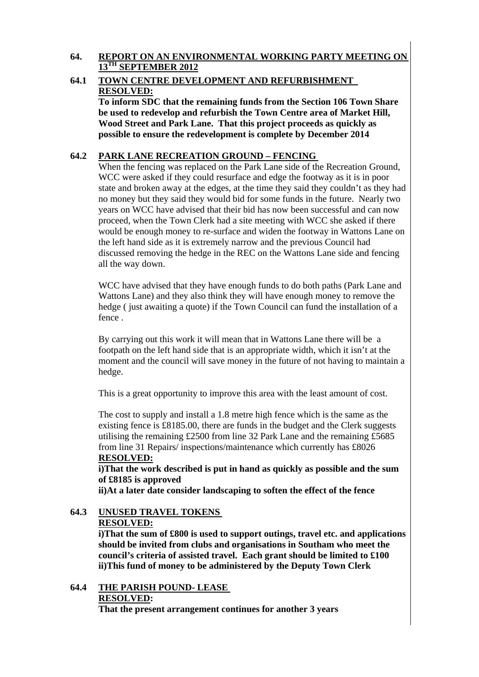## **64. REPORT ON AN ENVIRONMENTAL WORKING PARTY MEETING ON 13TH SEPTEMBER 2012**

## **64.1 TOWN CENTRE DEVELOPMENT AND REFURBISHMENT RESOLVED:**

**To inform SDC that the remaining funds from the Section 106 Town Share be used to redevelop and refurbish the Town Centre area of Market Hill, Wood Street and Park Lane. That this project proceeds as quickly as possible to ensure the redevelopment is complete by December 2014** 

## **64.2 PARK LANE RECREATION GROUND – FENCING**

When the fencing was replaced on the Park Lane side of the Recreation Ground, WCC were asked if they could resurface and edge the footway as it is in poor state and broken away at the edges, at the time they said they couldn't as they had no money but they said they would bid for some funds in the future. Nearly two years on WCC have advised that their bid has now been successful and can now proceed, when the Town Clerk had a site meeting with WCC she asked if there would be enough money to re-surface and widen the footway in Wattons Lane on the left hand side as it is extremely narrow and the previous Council had discussed removing the hedge in the REC on the Wattons Lane side and fencing all the way down.

WCC have advised that they have enough funds to do both paths (Park Lane and Wattons Lane) and they also think they will have enough money to remove the hedge ( just awaiting a quote) if the Town Council can fund the installation of a fence .

By carrying out this work it will mean that in Wattons Lane there will be a footpath on the left hand side that is an appropriate width, which it isn't at the moment and the council will save money in the future of not having to maintain a hedge.

This is a great opportunity to improve this area with the least amount of cost.

The cost to supply and install a 1.8 metre high fence which is the same as the existing fence is £8185.00, there are funds in the budget and the Clerk suggests utilising the remaining £2500 from line 32 Park Lane and the remaining £5685 from line 31 Repairs/ inspections/maintenance which currently has £8026  **RESOLVED:**

**i)That the work described is put in hand as quickly as possible and the sum of £8185 is approved** 

**ii)At a later date consider landscaping to soften the effect of the fence** 

**64.3 UNUSED TRAVEL TOKENS**

#### **RESOLVED:**

**i)That the sum of £800 is used to support outings, travel etc. and applications should be invited from clubs and organisations in Southam who meet the council's criteria of assisted travel. Each grant should be limited to £100 ii)This fund of money to be administered by the Deputy Town Clerk** 

**64.4 THE PARISH POUND- LEASE RESOLVED: That the present arrangement continues for another 3 years**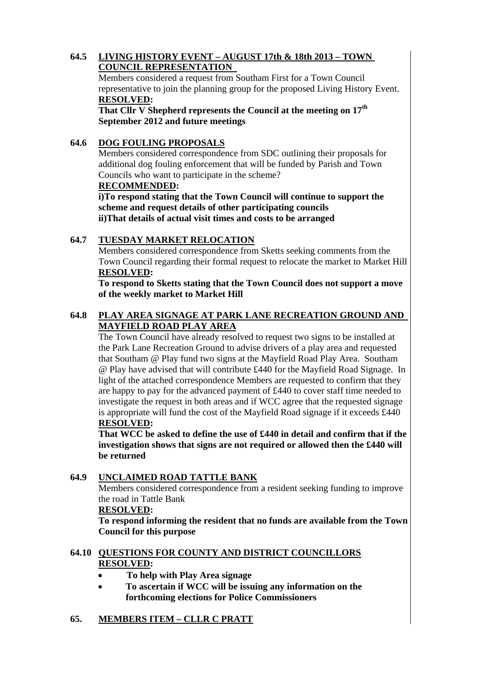# **64.5 LIVING HISTORY EVENT – AUGUST 17th & 18th 2013 – TOWN COUNCIL REPRESENTATION**

Members considered a request from Southam First for a Town Council representative to join the planning group for the proposed Living History Event. **RESOLVED:** 

**That Cllr V Shepherd represents the Council at the meeting on 17th September 2012 and future meetings** 

## **64.6 DOG FOULING PROPOSALS**

Members considered correspondence from SDC outlining their proposals for additional dog fouling enforcement that will be funded by Parish and Town Councils who want to participate in the scheme?

#### **RECOMMENDED:**

**i)To respond stating that the Town Council will continue to support the scheme and request details of other participating councils ii)That details of actual visit times and costs to be arranged** 

# **64.7 TUESDAY MARKET RELOCATION**

Members considered correspondence from Sketts seeking comments from the Town Council regarding their formal request to relocate the market to Market Hill **RESOLVED:** 

**To respond to Sketts stating that the Town Council does not support a move of the weekly market to Market Hill** 

## **64.8 PLAY AREA SIGNAGE AT PARK LANE RECREATION GROUND AND MAYFIELD ROAD PLAY AREA**

The Town Council have already resolved to request two signs to be installed at the Park Lane Recreation Ground to advise drivers of a play area and requested that Southam @ Play fund two signs at the Mayfield Road Play Area. Southam @ Play have advised that will contribute £440 for the Mayfield Road Signage. In light of the attached correspondence Members are requested to confirm that they are happy to pay for the advanced payment of £440 to cover staff time needed to investigate the request in both areas and if WCC agree that the requested signage is appropriate will fund the cost of the Mayfield Road signage if it exceeds £440 **RESOLVED:** 

**That WCC be asked to define the use of £440 in detail and confirm that if the investigation shows that signs are not required or allowed then the £440 will be returned** 

# **64.9 UNCLAIMED ROAD TATTLE BANK**

Members considered correspondence from a resident seeking funding to improve the road in Tattle Bank

# **RESOLVED:**

**To respond informing the resident that no funds are available from the Town Council for this purpose** 

# **64.10 QUESTIONS FOR COUNTY AND DISTRICT COUNCILLORS RESOLVED:**

- **To help with Play Area signage**
- **To ascertain if WCC will be issuing any information on the forthcoming elections for Police Commissioners**

# **65. MEMBERS ITEM – CLLR C PRATT**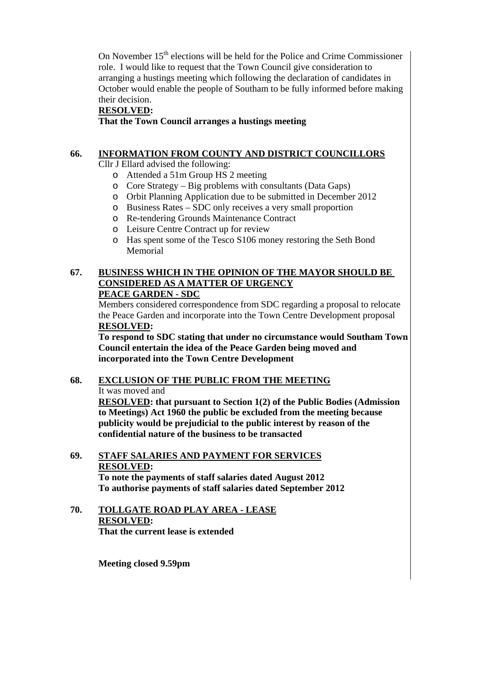On November 15<sup>th</sup> elections will be held for the Police and Crime Commissioner role. I would like to request that the Town Council give consideration to arranging a hustings meeting which following the declaration of candidates in October would enable the people of Southam to be fully informed before making their decision.

## **RESOLVED:**

#### **That the Town Council arranges a hustings meeting**

#### **66. INFORMATION FROM COUNTY AND DISTRICT COUNCILLORS**

Cllr J Ellard advised the following:

- o Attended a 51m Group HS 2 meeting
- o Core Strategy Big problems with consultants (Data Gaps)
- o Orbit Planning Application due to be submitted in December 2012
- o Business Rates SDC only receives a very small proportion
- o Re-tendering Grounds Maintenance Contract
- o Leisure Centre Contract up for review
- o Has spent some of the Tesco S106 money restoring the Seth Bond Memorial

#### **67. BUSINESS WHICH IN THE OPINION OF THE MAYOR SHOULD BE CONSIDERED AS A MATTER OF URGENCY PEACE GARDEN - SDC**

Members considered correspondence from SDC regarding a proposal to relocate the Peace Garden and incorporate into the Town Centre Development proposal **RESOLVED:** 

 **To respond to SDC stating that under no circumstance would Southam Town Council entertain the idea of the Peace Garden being moved and incorporated into the Town Centre Development** 

# **68. EXCLUSION OF THE PUBLIC FROM THE MEETING**

It was moved and

**RESOLVED: that pursuant to Section 1(2) of the Public Bodies (Admission to Meetings) Act 1960 the public be excluded from the meeting because publicity would be prejudicial to the public interest by reason of the confidential nature of the business to be transacted** 

- **69. STAFF SALARIES AND PAYMENT FOR SERVICES RESOLVED: To note the payments of staff salaries dated August 2012 To authorise payments of staff salaries dated September 2012**
- **70. TOLLGATE ROAD PLAY AREA LEASE RESOLVED: That the current lease is extended**

**Meeting closed 9.59pm**